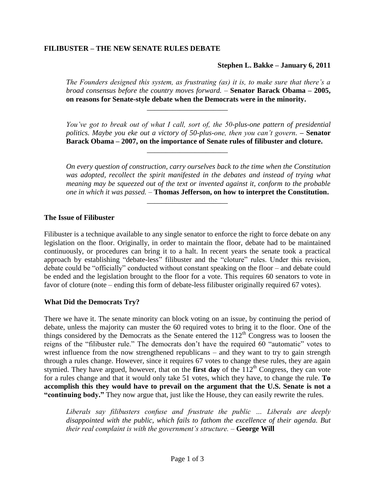# **FILIBUSTER – THE NEW SENATE RULES DEBATE**

**Stephen L. Bakke – January 6, 2011**

*The Founders designed this system, as frustrating (as) it is, to make sure that there's a broad consensus before the country moves forward.* – **Senator Barack Obama – 2005, on reasons for Senate-style debate when the Democrats were in the minority.**

\_\_\_\_\_\_\_\_\_\_\_\_\_\_\_\_\_\_\_\_\_\_

\_\_\_\_\_\_\_\_\_\_\_\_\_\_\_\_\_\_\_\_\_\_

\_\_\_\_\_\_\_\_\_\_\_\_\_\_\_\_\_\_\_\_\_\_

*You've got to break out of what I call, sort of, the 50-plus-one pattern of presidential politics. Maybe you eke out a victory of 50-plus-one, then you can't govern.* **– Senator Barack Obama – 2007, on the importance of Senate rules of filibuster and cloture.**

*On every question of construction, carry ourselves back to the time when the Constitution was adopted, recollect the spirit manifested in the debates and instead of trying what meaning may be squeezed out of the text or invented against it, conform to the probable one in which it was passed.* – **Thomas Jefferson, on how to interpret the Constitution.**

### **The Issue of Filibuster**

Filibuster is a technique available to any single senator to enforce the right to force debate on any legislation on the floor. Originally, in order to maintain the floor, debate had to be maintained continuously, or procedures can bring it to a halt. In recent years the senate took a practical approach by establishing "debate-less" filibuster and the "cloture" rules. Under this revision, debate could be "officially" conducted without constant speaking on the floor – and debate could be ended and the legislation brought to the floor for a vote. This requires 60 senators to vote in favor of cloture (note – ending this form of debate-less filibuster originally required 67 votes).

### **What Did the Democrats Try?**

There we have it. The senate minority can block voting on an issue, by continuing the period of debate, unless the majority can muster the 60 required votes to bring it to the floor. One of the things considered by the Democrats as the Senate entered the  $112<sup>th</sup>$  Congress was to loosen the reigns of the "filibuster rule." The democrats don't have the required 60 "automatic" votes to wrest influence from the now strengthened republicans – and they want to try to gain strength through a rules change. However, since it requires 67 votes to change these rules, they are again stymied. They have argued, however, that on the **first day** of the  $112<sup>th</sup>$  Congress, they can vote for a rules change and that it would only take 51 votes, which they have, to change the rule. **To accomplish this they would have to prevail on the argument that the U.S. Senate is not a "continuing body."** They now argue that, just like the House, they can easily rewrite the rules.

*Liberals say filibusters confuse and frustrate the public … Liberals are deeply disappointed with the public, which fails to fathom the excellence of their agenda. But their real complaint is with the government's structure. –* **George Will**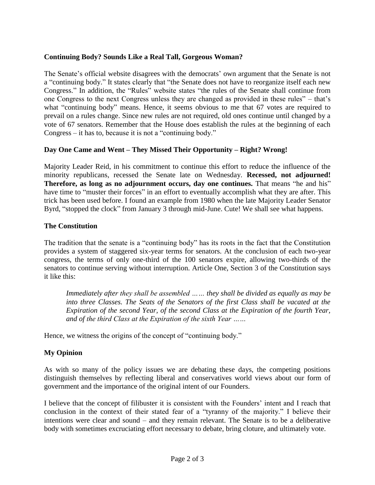# **Continuing Body? Sounds Like a Real Tall, Gorgeous Woman?**

The Senate's official website disagrees with the democrats' own argument that the Senate is not a "continuing body." It states clearly that "the Senate does not have to reorganize itself each new Congress." In addition, the "Rules" website states "the rules of the Senate shall continue from one Congress to the next Congress unless they are changed as provided in these rules" – that's what "continuing body" means. Hence, it seems obvious to me that 67 votes are required to prevail on a rules change. Since new rules are not required, old ones continue until changed by a vote of 67 senators. Remember that the House does establish the rules at the beginning of each Congress – it has to, because it is not a "continuing body."

## **Day One Came and Went – They Missed Their Opportunity – Right? Wrong!**

Majority Leader Reid, in his commitment to continue this effort to reduce the influence of the minority republicans, recessed the Senate late on Wednesday. **Recessed, not adjourned! Therefore, as long as no adjournment occurs, day one continues.** That means "he and his" have time to "muster their forces" in an effort to eventually accomplish what they are after. This trick has been used before. I found an example from 1980 when the late Majority Leader Senator Byrd, "stopped the clock" from January 3 through mid-June. Cute! We shall see what happens.

## **The Constitution**

The tradition that the senate is a "continuing body" has its roots in the fact that the Constitution provides a system of staggered six-year terms for senators. At the conclusion of each two-year congress, the terms of only one-third of the 100 senators expire, allowing two-thirds of the senators to continue serving without interruption. Article One, Section 3 of the Constitution says it like this:

*Immediately after they shall be assembled …… they shall be divided as equally as may be into three Classes. The Seats of the Senators of the first Class shall be vacated at the Expiration of the second Year, of the second Class at the Expiration of the fourth Year, and of the third Class at the Expiration of the sixth Year ……* 

Hence, we witness the origins of the concept of "continuing body."

## **My Opinion**

As with so many of the policy issues we are debating these days, the competing positions distinguish themselves by reflecting liberal and conservatives world views about our form of government and the importance of the original intent of our Founders.

I believe that the concept of filibuster it is consistent with the Founders' intent and I reach that conclusion in the context of their stated fear of a "tyranny of the majority." I believe their intentions were clear and sound – and they remain relevant. The Senate is to be a deliberative body with sometimes excruciating effort necessary to debate, bring cloture, and ultimately vote.